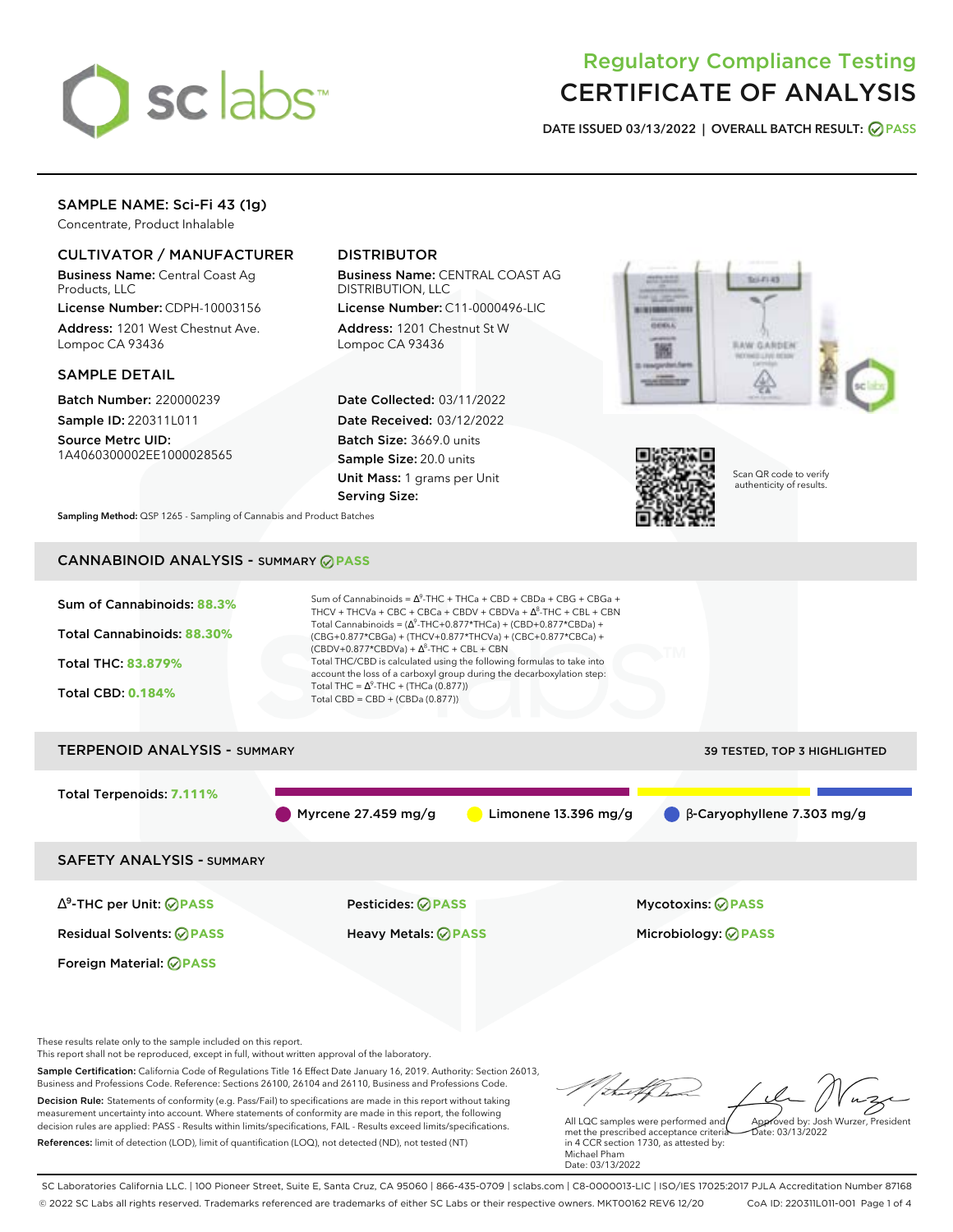

# Regulatory Compliance Testing CERTIFICATE OF ANALYSIS

**DATE ISSUED 03/13/2022 | OVERALL BATCH RESULT: PASS**

## SAMPLE NAME: Sci-Fi 43 (1g)

Concentrate, Product Inhalable

## CULTIVATOR / MANUFACTURER

Business Name: Central Coast Ag Products, LLC

License Number: CDPH-10003156 Address: 1201 West Chestnut Ave. Lompoc CA 93436

#### SAMPLE DETAIL

Batch Number: 220000239 Sample ID: 220311L011

Source Metrc UID: 1A4060300002EE1000028565

# DISTRIBUTOR

Business Name: CENTRAL COAST AG DISTRIBUTION, LLC

License Number: C11-0000496-LIC Address: 1201 Chestnut St W Lompoc CA 93436

Date Collected: 03/11/2022 Date Received: 03/12/2022 Batch Size: 3669.0 units Sample Size: 20.0 units Unit Mass: 1 grams per Unit Serving Size:





Scan QR code to verify authenticity of results.

**Sampling Method:** QSP 1265 - Sampling of Cannabis and Product Batches

# CANNABINOID ANALYSIS - SUMMARY **PASS**



This report shall not be reproduced, except in full, without written approval of the laboratory.

Sample Certification: California Code of Regulations Title 16 Effect Date January 16, 2019. Authority: Section 26013, Business and Professions Code. Reference: Sections 26100, 26104 and 26110, Business and Professions Code. Decision Rule: Statements of conformity (e.g. Pass/Fail) to specifications are made in this report without taking measurement uncertainty into account. Where statements of conformity are made in this report, the following decision rules are applied: PASS - Results within limits/specifications, FAIL - Results exceed limits/specifications.

References: limit of detection (LOD), limit of quantification (LOQ), not detected (ND), not tested (NT)

Approved by: Josh Wurzer, President

 $hat: 03/13/2022$ 

All LQC samples were performed and met the prescribed acceptance criteria in 4 CCR section 1730, as attested by: Michael Pham Date: 03/13/2022

SC Laboratories California LLC. | 100 Pioneer Street, Suite E, Santa Cruz, CA 95060 | 866-435-0709 | sclabs.com | C8-0000013-LIC | ISO/IES 17025:2017 PJLA Accreditation Number 87168 © 2022 SC Labs all rights reserved. Trademarks referenced are trademarks of either SC Labs or their respective owners. MKT00162 REV6 12/20 CoA ID: 220311L011-001 Page 1 of 4